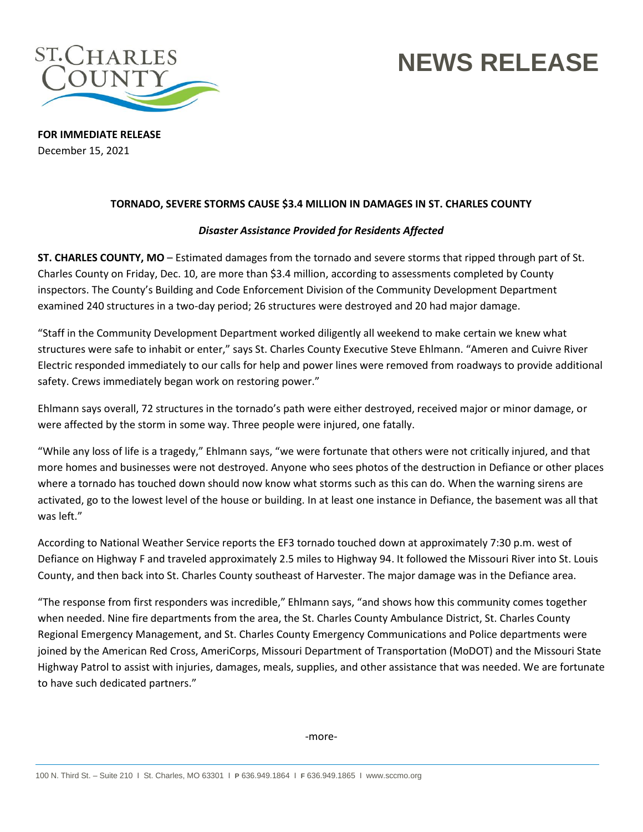

# **NEWS RELEASE**

**FOR IMMEDIATE RELEASE** December 15, 2021

## **TORNADO, SEVERE STORMS CAUSE \$3.4 MILLION IN DAMAGES IN ST. CHARLES COUNTY**

## *Disaster Assistance Provided for Residents Affected*

**ST. CHARLES COUNTY, MO** – Estimated damages from the tornado and severe storms that ripped through part of St. Charles County on Friday, Dec. 10, are more than \$3.4 million, according to assessments completed by County inspectors. The County's Building and Code Enforcement Division of the Community Development Department examined 240 structures in a two-day period; 26 structures were destroyed and 20 had major damage.

"Staff in the Community Development Department worked diligently all weekend to make certain we knew what structures were safe to inhabit or enter," says St. Charles County Executive Steve Ehlmann. "Ameren and Cuivre River Electric responded immediately to our calls for help and power lines were removed from roadways to provide additional safety. Crews immediately began work on restoring power."

Ehlmann says overall, 72 structures in the tornado's path were either destroyed, received major or minor damage, or were affected by the storm in some way. Three people were injured, one fatally.

"While any loss of life is a tragedy," Ehlmann says, "we were fortunate that others were not critically injured, and that more homes and businesses were not destroyed. Anyone who sees photos of the destruction in Defiance or other places where a tornado has touched down should now know what storms such as this can do. When the warning sirens are activated, go to the lowest level of the house or building. In at least one instance in Defiance, the basement was all that was left."

According to National Weather Service reports the EF3 tornado touched down at approximately 7:30 p.m. west of Defiance on Highway F and traveled approximately 2.5 miles to Highway 94. It followed the Missouri River into St. Louis County, and then back into St. Charles County southeast of Harvester. The major damage was in the Defiance area.

"The response from first responders was incredible," Ehlmann says, "and shows how this community comes together when needed. Nine fire departments from the area, the St. Charles County Ambulance District, St. Charles County Regional Emergency Management, and St. Charles County Emergency Communications and Police departments were joined by the American Red Cross, AmeriCorps, Missouri Department of Transportation (MoDOT) and the Missouri State Highway Patrol to assist with injuries, damages, meals, supplies, and other assistance that was needed. We are fortunate to have such dedicated partners."

-more-